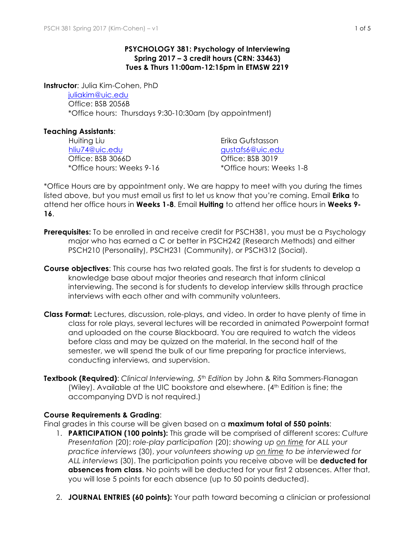### **PSYCHOLOGY 381: Psychology of Interviewing Spring 2017 – 3 credit hours (CRN: 33463) Tues & Thurs 11:00am-12:15pm in ETMSW 2219**

**Instructor**: Julia Kim-Cohen, PhD

juliakim@uic.edu Office: BSB 2056B \*Office hours: Thursdays 9:30-10:30am (by appointment)

# **Teaching Assistants**:

Huiting Liu **Erika Gufstasson** hliu74@uic.edu gustafs6@uic.edu Office: BSB 3066D Office: BSB 3019 \*Office hours: Weeks 9-16 \*Office hours: Weeks 1-8

\*Office Hours are by appointment only. We are happy to meet with you during the times listed above, but you must email us first to let us know that you're coming. Email **Erika** to attend her office hours in **Weeks 1-8**. Email **Huiting** to attend her office hours in **Weeks 9- 16**.

- **Prerequisites:** To be enrolled in and receive credit for PSCH381, you must be a Psychology major who has earned a C or better in PSCH242 (Research Methods) and either PSCH210 (Personality), PSCH231 (Community), or PSCH312 (Social).
- **Course objectives**: This course has two related goals. The first is for students to develop a knowledge base about major theories and research that inform clinical interviewing. The second is for students to develop interview skills through practice interviews with each other and with community volunteers.
- **Class Format:** Lectures, discussion, role-plays, and video. In order to have plenty of time in class for role plays, several lectures will be recorded in animated Powerpoint format and uploaded on the course Blackboard. You are required to watch the videos before class and may be quizzed on the material. In the second half of the semester, we will spend the bulk of our time preparing for practice interviews, conducting interviews, and supervision.
- **Textbook (Required)**: *Clinical Interviewing, 5th Edition* by John & Rita Sommers-Flanagan (Wiley). Available at the UIC bookstore and elsewhere. (4<sup>th</sup> Edition is fine; the accompanying DVD is not required.)

### **Course Requirements & Grading**:

Final grades in this course will be given based on a **maximum total of 550 points**:

- 1. **PARTICIPATION (100 points):** This grade will be comprised of different scores: *Culture Presentation* (20); *role-play participation* (20); *showing up on time for ALL your practice interviews* (30), *your volunteers showing up on time to be interviewed for ALL interviews* (30). The participation points you receive above will be **deducted for absences from class**. No points will be deducted for your first 2 absences. After that, you will lose 5 points for each absence (up to 50 points deducted).
- 2. **JOURNAL ENTRIES (60 points):** Your path toward becoming a clinician or professional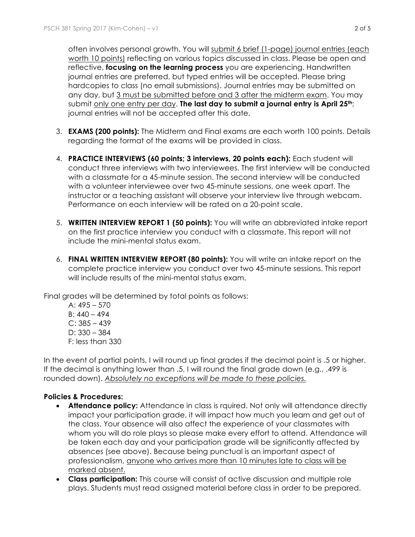often involves personal growth. You will submit 6 brief (1-page) journal entries (each worth 10 points) reflecting on various topics discussed in class. Please be open and reflective, **focusing on the learning process** you are experiencing. Handwritten journal entries are preferred, but typed entries will be accepted. Please bring hardcopies to class (no email submissions). Journal entries may be submitted on any day, but 3 must be submitted before and 3 after the midterm exam. You may submit only one entry per day. **The last day to submit a journal entry is April 25th**; journal entries will not be accepted after this date.

- 3. **EXAMS (200 points):** The Midterm and Final exams are each worth 100 points. Details regarding the format of the exams will be provided in class.
- 4. **PRACTICE INTERVIEWS (60 points; 3 interviews, 20 points each):** Each student will conduct three interviews with two interviewees. The first interview will be conducted with a classmate for a 45-minute session. The second interview will be conducted with a volunteer interviewee over two 45-minute sessions, one week apart. The instructor or a teaching assistant will observe your interview live through webcam. Performance on each interview will be rated on a 20-point scale.
- 5. **WRITTEN INTERVIEW REPORT 1 (50 points):** You will write an abbreviated intake report on the first practice interview you conduct with a classmate. This report will not include the mini-mental status exam.
- 6. **FINAL WRITTEN INTERVIEW REPORT (80 points):** You will write an intake report on the complete practice interview you conduct over two 45-minute sessions. This report will include results of the mini-mental status exam.

Final grades will be determined by total points as follows:

A: 495 – 570  $B: 440 - 494$  $C: 385 - 439$ D: 330 – 384 F: less than 330

In the event of partial points, I will round up final grades if the decimal point is .5 or higher. If the decimal is anything lower than .5, I will round the final grade down (e.g., .499 is rounded down). *Absolutely no exceptions will be made to these policies.*

### **Policies & Procedures:**

- **Attendance policy:** Attendance in class is rquired. Not only will attendance directly impact your participation grade, it will impact how much you learn and get out of the class. Your absence will also affect the experience of your classmates with whom you will do role plays so please make every effort to attend. Attendance will be taken each day and your participation grade will be significantly affected by absences (see above). Because being punctual is an important aspect of professionalism, anyone who arrives more than 10 minutes late to class will be marked absent.
- **Class participation:** This course will consist of active discussion and multiple role plays. Students must read assigned material before class in order to be prepared.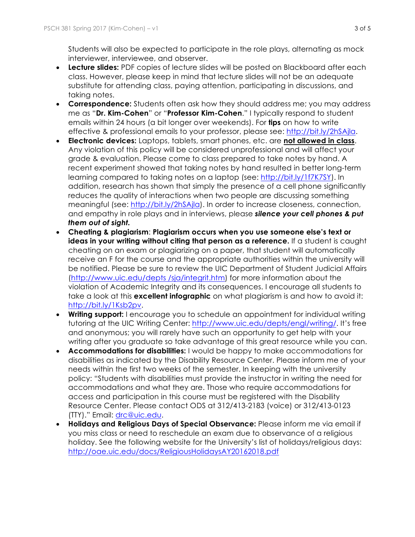Students will also be expected to participate in the role plays, alternating as mock interviewer, interviewee, and observer.

- **Lecture slides:** PDF copies of lecture slides will be posted on Blackboard after each class. However, please keep in mind that lecture slides will not be an adequate substitute for attending class, paying attention, participating in discussions, and taking notes.
- **Correspondence:** Students often ask how they should address me; you may address me as "**Dr. Kim-Cohen**" or "**Professor Kim-Cohen**." I typically respond to student emails within 24 hours (a bit longer over weekends). For **tips** on how to write effective & professional emails to your professor, please see: http://bit.ly/2hSAjla.
- **Electronic devices:** Laptops, tablets, smart phones, etc. are **not allowed in class**. Any violation of this policy will be considered unprofessional and will affect your grade & evaluation. Please come to class prepared to take notes by hand. A recent experiment showed that taking notes by hand resulted in better long-term learning compared to taking notes on a laptop (see: http://bit.ly/1f7K7SY). In addition, research has shown that simply the presence of a cell phone significantly reduces the quality of interactions when two people are discussing something meaningful (see: http://bit.ly/2hSAjla). In order to increase closeness, connection, and empathy in role plays and in interviews, please *silence your cell phones & put them out of sight.*
- **Cheating & plagiarism**: **Plagiarism occurs when you use someone else's text or ideas in your writing without citing that person as a reference.** If a student is caught cheating on an exam or plagiarizing on a paper, that student will automatically receive an F for the course and the appropriate authorities within the university will be notified. Please be sure to review the UIC Department of Student Judicial Affairs (http://www.uic.edu/depts /sja/integrit.htm) for more information about the violation of Academic Integrity and its consequences. I encourage all students to take a look at this **excellent infographic** on what plagiarism is and how to avoid it: http://bit.ly/1Ksb2pv.
- **Writing support:** I encourage you to schedule an appointment for individual writing tutoring at the UIC Writing Center: http://www.uic.edu/depts/engl/writing/. It's free and anonymous; you will rarely have such an opportunity to get help with your writing after you graduate so take advantage of this great resource while you can.
- **Accommodations for disabilities:** I would be happy to make accommodations for disabilities as indicated by the Disability Resource Center. Please inform me of your needs within the first two weeks of the semester. In keeping with the university policy: "Students with disabilities must provide the instructor in writing the need for accommodations and what they are. Those who require accommodations for access and participation in this course must be registered with the Disability Resource Center. Please contact ODS at 312/413-2183 (voice) or 312/413-0123 (TTY)." Email: drc@uic.edu.
- **Holidays and Religious Days of Special Observance:** Please inform me via email if you miss class or need to reschedule an exam due to observance of a religious holiday. See the following website for the University's list of holidays/religious days: http://oae.uic.edu/docs/ReligiousHolidaysAY20162018.pdf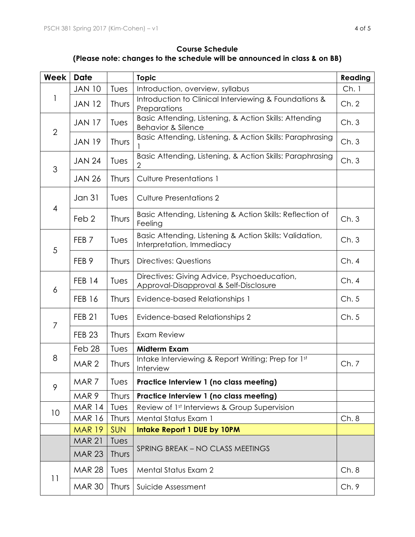# **Course Schedule (Please note: changes to the schedule will be announced in class & on BB)**

| Week           | <b>Date</b>      |            | <b>Topic</b>                                                                            | Reading |
|----------------|------------------|------------|-----------------------------------------------------------------------------------------|---------|
| 1              | <b>JAN 10</b>    | Tues       | Introduction, overview, syllabus                                                        | Ch.1    |
|                | <b>JAN 12</b>    | Thurs      | Introduction to Clinical Interviewing & Foundations &<br>Preparations                   | Ch.2    |
| $\overline{2}$ | <b>JAN 17</b>    | Tues       | Basic Attending, Listening, & Action Skills: Attending<br><b>Behavior &amp; Silence</b> | Ch.3    |
|                | <b>JAN 19</b>    | Thurs      | Basic Attending, Listening, & Action Skills: Paraphrasing                               | Ch.3    |
| 3              | <b>JAN 24</b>    | Tues       | Basic Attending, Listening, & Action Skills: Paraphrasing<br>2                          | Ch.3    |
|                | <b>JAN 26</b>    | Thurs      | <b>Culture Presentations 1</b>                                                          |         |
| $\overline{4}$ | <b>Jan 31</b>    | Tues       | <b>Culture Presentations 2</b>                                                          |         |
|                | Feb <sub>2</sub> | Thurs      | Basic Attending, Listening & Action Skills: Reflection of<br>Feeling                    | Ch.3    |
| 5              | FEB <sub>7</sub> | Tues       | Basic Attending, Listening & Action Skills: Validation,<br>Interpretation, Immediacy    | Ch.3    |
|                | FEB <sub>9</sub> | Thurs      | <b>Directives: Questions</b>                                                            | Ch.4    |
| 6              | <b>FEB 14</b>    | Tues       | Directives: Giving Advice, Psychoeducation,<br>Approval-Disapproval & Self-Disclosure   | Ch.4    |
|                | <b>FEB 16</b>    | Thurs      | <b>Evidence-based Relationships 1</b>                                                   | Ch.5    |
| $\overline{7}$ | <b>FEB 21</b>    | Tues       | Evidence-based Relationships 2                                                          | Ch.5    |
|                | <b>FEB 23</b>    | Thurs      | Exam Review                                                                             |         |
| 8              | Feb 28           | Tues       | <b>Midterm Exam</b>                                                                     |         |
|                | MAR <sub>2</sub> | Thurs      | Intake Interviewing & Report Writing; Prep for 1st<br>Interview                         | Ch. 7   |
| 9              | MAR 7            | Tues       | Practice Interview 1 (no class meeting)                                                 |         |
|                | MAR 9            | Thurs      | Practice Interview 1 (no class meeting)                                                 |         |
| 10             | <b>MAR 14</b>    | Tues       | Review of 1st Interviews & Group Supervision                                            |         |
|                | <b>MAR 16</b>    | Thurs      | Mental Status Exam 1                                                                    | Ch.8    |
|                | <b>MAR 19</b>    | <b>SUN</b> | <b>Intake Report 1 DUE by 10PM</b>                                                      |         |
|                | <b>MAR 21</b>    | Tues       | SPRING BREAK - NO CLASS MEETINGS                                                        |         |
|                | <b>MAR 23</b>    | Thurs      |                                                                                         |         |
| 11             | <b>MAR 28</b>    | Tues       | <b>Mental Status Exam 2</b>                                                             | Ch.8    |
|                | <b>MAR 30</b>    | Thurs      | Suicide Assessment                                                                      | Ch.9    |